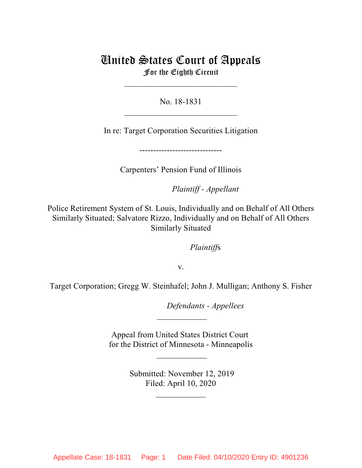# United States Court of Appeals For the Eighth Circuit

 $\mathcal{L}_\text{max}$  , where  $\mathcal{L}_\text{max}$  , we have the set of the set of the set of the set of the set of the set of the set of the set of the set of the set of the set of the set of the set of the set of the set of the set of

No. 18-1831  $\mathcal{L}_\text{max}$  , where  $\mathcal{L}_\text{max}$  , we have the set of the set of the set of the set of the set of the set of the set of the set of the set of the set of the set of the set of the set of the set of the set of the set of

In re: Target Corporation Securities Litigation

------------------------------

Carpenters' Pension Fund of Illinois

lllllllllllllllllllll*Plaintiff - Appellant*

Police Retirement System of St. Louis, Individually and on Behalf of All Others Similarly Situated; Salvatore Rizzo, Individually and on Behalf of All Others Similarly Situated

*Plaintiffs* 

v.

Target Corporation; Gregg W. Steinhafel; John J. Mulligan; Anthony S. Fisher

lllllllllllllllllllll*Defendants - Appellees*

Appeal from United States District Court for the District of Minnesota - Minneapolis

 $\frac{1}{2}$ 

 $\overline{\phantom{a}}$ 

 Submitted: November 12, 2019 Filed: April 10, 2020

 $\frac{1}{2}$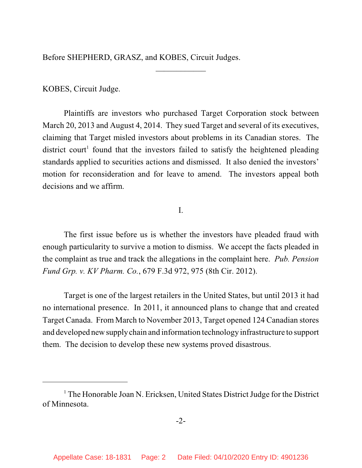Before SHEPHERD, GRASZ, and KOBES, Circuit Judges.

## KOBES, Circuit Judge.

Plaintiffs are investors who purchased Target Corporation stock between March 20, 2013 and August 4, 2014. They sued Target and several of its executives, claiming that Target misled investors about problems in its Canadian stores. The district court<sup>1</sup> found that the investors failed to satisfy the heightened pleading standards applied to securities actions and dismissed. It also denied the investors' motion for reconsideration and for leave to amend. The investors appeal both decisions and we affirm.

 $\frac{1}{2}$ 

## I.

The first issue before us is whether the investors have pleaded fraud with enough particularity to survive a motion to dismiss. We accept the facts pleaded in the complaint as true and track the allegations in the complaint here. *Pub. Pension Fund Grp. v. KV Pharm. Co.*, 679 F.3d 972, 975 (8th Cir. 2012).

Target is one of the largest retailers in the United States, but until 2013 it had no international presence. In 2011, it announced plans to change that and created Target Canada. From March to November 2013, Target opened 124 Canadian stores and developed newsupplychain and information technology infrastructure to support them.The decision to develop these new systems proved disastrous.

 $1$  The Honorable Joan N. Ericksen, United States District Judge for the District of Minnesota.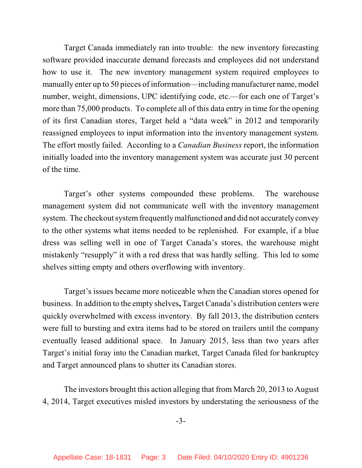Target Canada immediately ran into trouble: the new inventory forecasting software provided inaccurate demand forecasts and employees did not understand how to use it. The new inventory management system required employees to manually enter up to 50 pieces of information—including manufacturer name, model number, weight, dimensions, UPC identifying code, etc.—for each one of Target's more than 75,000 products. To complete all of this data entry in time for the opening of its first Canadian stores, Target held a "data week" in 2012 and temporarily reassigned employees to input information into the inventory management system. The effort mostly failed. According to a *Canadian Business* report, the information initially loaded into the inventory management system was accurate just 30 percent of the time.

Target's other systems compounded these problems. The warehouse management system did not communicate well with the inventory management system. The checkout system frequently malfunctioned and did not accurately convey to the other systems what items needed to be replenished. For example, if a blue dress was selling well in one of Target Canada's stores, the warehouse might mistakenly "resupply" it with a red dress that was hardly selling. This led to some shelves sitting empty and others overflowing with inventory.

Target's issues became more noticeable when the Canadian stores opened for business. In addition to the empty shelves**,** Target Canada's distribution centers were quickly overwhelmed with excess inventory. By fall 2013, the distribution centers were full to bursting and extra items had to be stored on trailers until the company eventually leased additional space. In January 2015, less than two years after Target's initial foray into the Canadian market, Target Canada filed for bankruptcy and Target announced plans to shutter its Canadian stores.

The investors brought this action alleging that from March 20, 2013 to August 4, 2014, Target executives misled investors by understating the seriousness of the

-3-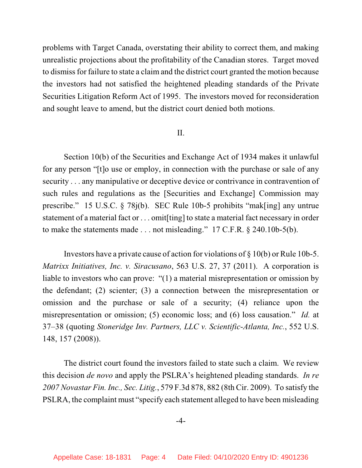problems with Target Canada, overstating their ability to correct them, and making unrealistic projections about the profitability of the Canadian stores. Target moved to dismissfor failure to state a claim and the district court granted the motion because the investors had not satisfied the heightened pleading standards of the Private Securities Litigation Reform Act of 1995. The investors moved for reconsideration and sought leave to amend, but the district court denied both motions.

#### II.

Section 10(b) of the Securities and Exchange Act of 1934 makes it unlawful for any person "[t]o use or employ, in connection with the purchase or sale of any security . . . any manipulative or deceptive device or contrivance in contravention of such rules and regulations as the [Securities and Exchange] Commission may prescribe." 15 U.S.C. § 78j(b). SEC Rule 10b-5 prohibits "mak[ing] any untrue statement of a material fact or . . . omit[ting] to state a material fact necessary in order to make the statements made . . . not misleading." 17 C.F.R. § 240.10b-5(b).

Investors have a private cause of action for violations of  $\S 10(b)$  or Rule 10b-5. *Matrixx Initiatives, Inc. v. Siracusano*, 563 U.S. 27, 37 (2011). A corporation is liable to investors who can prove: "(1) a material misrepresentation or omission by the defendant; (2) scienter; (3) a connection between the misrepresentation or omission and the purchase or sale of a security; (4) reliance upon the misrepresentation or omission; (5) economic loss; and (6) loss causation." *Id.* at 37–38 (quoting *Stoneridge Inv. Partners, LLC v. Scientific-Atlanta, Inc.*, 552 U.S. 148, 157 (2008)).

The district court found the investors failed to state such a claim. We review this decision *de novo* and apply the PSLRA's heightened pleading standards. *In re 2007 Novastar Fin. Inc., Sec. Litig.*, 579 F.3d 878, 882 (8th Cir. 2009). To satisfy the PSLRA, the complaint must "specify each statement alleged to have been misleading

#### -4-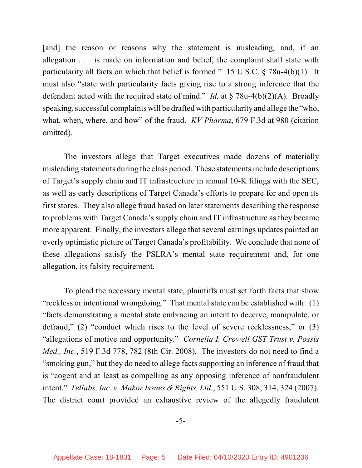[and] the reason or reasons why the statement is misleading, and, if an allegation . . . is made on information and belief, the complaint shall state with particularity all facts on which that belief is formed." 15 U.S.C. § 78u-4(b)(1). It must also "state with particularity facts giving rise to a strong inference that the defendant acted with the required state of mind." *Id.* at § 78u-4(b)(2)(A). Broadly speaking, successful complaints will be drafted with particularity and allege the "who, what, when, where, and how" of the fraud. *KV Pharma*, 679 F.3d at 980 (citation omitted).

The investors allege that Target executives made dozens of materially misleading statements during the class period. These statements include descriptions of Target's supply chain and IT infrastructure in annual 10-K filings with the SEC, as well as early descriptions of Target Canada's efforts to prepare for and open its first stores. They also allege fraud based on later statements describing the response to problems with Target Canada's supply chain and IT infrastructure as they became more apparent. Finally, the investors allege that several earnings updates painted an overly optimistic picture of Target Canada's profitability. We conclude that none of these allegations satisfy the PSLRA's mental state requirement and, for one allegation, its falsity requirement.

To plead the necessary mental state, plaintiffs must set forth facts that show "reckless or intentional wrongdoing." That mental state can be established with: (1) "facts demonstrating a mental state embracing an intent to deceive, manipulate, or defraud," (2) "conduct which rises to the level of severe recklessness," or (3) "allegations of motive and opportunity." *Cornelia I. Crowell GST Trust v. Possis Med., Inc.*, 519 F.3d 778, 782 (8th Cir. 2008)*.* The investors do not need to find a "smoking gun," but they do need to allege facts supporting an inference of fraud that is "cogent and at least as compelling as any opposing inference of nonfraudulent intent." *Tellabs, Inc. v. Makor Issues & Rights, Ltd.*, 551 U.S. 308, 314, 324 (2007). The district court provided an exhaustive review of the allegedly fraudulent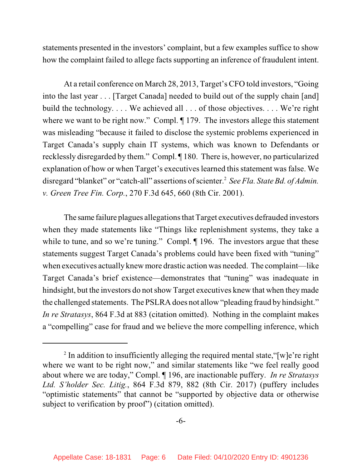statements presented in the investors' complaint, but a few examples suffice to show how the complaint failed to allege facts supporting an inference of fraudulent intent.

At a retail conference on March 28, 2013, Target's CFO told investors, "Going into the last year . . . [Target Canada] needed to build out of the supply chain [and] build the technology. . . . We achieved all . . . of those objectives. . . . We're right where we want to be right now." Compl.  $\P$  179. The investors allege this statement was misleading "because it failed to disclose the systemic problems experienced in Target Canada's supply chain IT systems, which was known to Defendants or recklessly disregarded by them." Compl. ¶ 180. There is, however, no particularized explanation of how or when Target's executives learned this statement was false. We disregard "blanket" or "catch-all" assertions of scienter.<sup>2</sup> *See Fla. State Bd. of Admin. v. Green Tree Fin. Corp.*, 270 F.3d 645, 660 (8th Cir. 2001).

The same failure plagues allegations that Target executives defrauded investors when they made statements like "Things like replenishment systems, they take a while to tune, and so we're tuning." Compl.  $\P$  196. The investors argue that these statements suggest Target Canada's problems could have been fixed with "tuning" when executives actually knew more drastic action was needed. The complaint—like Target Canada's brief existence—demonstrates that "tuning" was inadequate in hindsight, but the investors do not show Target executives knew that when they made the challenged statements. The PSLRA does not allow "pleading fraud by hindsight." *In re Stratasys*, 864 F.3d at 883 (citation omitted). Nothing in the complaint makes a "compelling" case for fraud and we believe the more compelling inference, which

<sup>&</sup>lt;sup>2</sup> In addition to insufficiently alleging the required mental state, "[w]e're right where we want to be right now," and similar statements like "we feel really good about where we are today," Compl. ¶ 196, are inactionable puffery. *In re Stratasys Ltd. S'holder Sec. Litig.*, 864 F.3d 879, 882 (8th Cir. 2017) (puffery includes "optimistic statements" that cannot be "supported by objective data or otherwise subject to verification by proof") (citation omitted).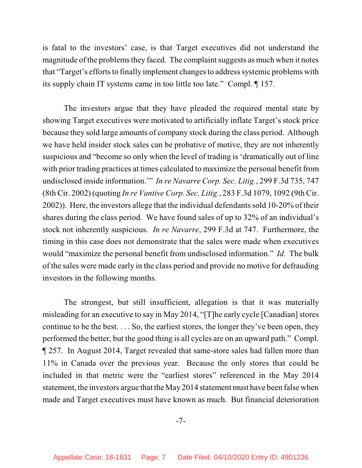is fatal to the investors' case, is that Target executives did not understand the magnitude of the problems they faced. The complaint suggests as much when it notes that "Target's efforts to finally implement changes to address systemic problems with its supply chain IT systems came in too little too late." Compl. ¶ 157.

The investors argue that they have pleaded the required mental state by showing Target executives were motivated to artificially inflate Target's stock price because they sold large amounts of company stock during the class period. Although we have held insider stock sales can be probative of motive, they are not inherently suspicious and "become so only when the level of trading is 'dramatically out of line with prior trading practices at times calculated to maximize the personal benefit from undisclosed inside information.'" *In re Navarre Corp. Sec. Litig.*, 299 F.3d 735, 747 (8th Cir. 2002) (quoting *In re Vantive Corp. Sec. Litig.*, 283 F.3d 1079, 1092 (9th Cir. 2002)). Here, the investors allege that the individual defendants sold 10-20% of their shares during the class period. We have found sales of up to 32% of an individual's stock not inherently suspicious. *In re Navarre*, 299 F.3d at 747. Furthermore, the timing in this case does not demonstrate that the sales were made when executives would "maximize the personal benefit from undisclosed information." *Id.* The bulk of the sales were made early in the class period and provide no motive for defrauding investors in the following months.

The strongest, but still insufficient, allegation is that it was materially misleading for an executive to say in May 2014, "[T]he early cycle [Canadian] stores continue to be the best. . . . So, the earliest stores, the longer they've been open, they performed the better, but the good thing is all cycles are on an upward path." Compl. ¶ 257. In August 2014, Target revealed that same-store sales had fallen more than 11% in Canada over the previous year. Because the only stores that could be included in that metric were the "earliest stores" referenced in the May 2014 statement, the investors argue that the May 2014 statement must have been false when made and Target executives must have known as much. But financial deterioration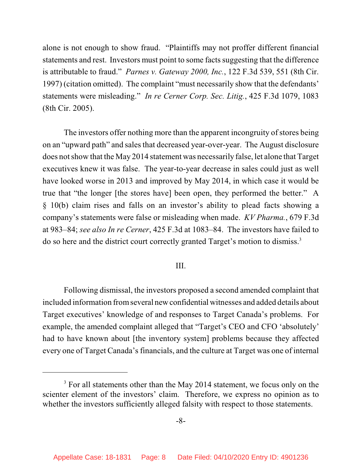alone is not enough to show fraud. "Plaintiffs may not proffer different financial statements and rest. Investors must point to some facts suggesting that the difference is attributable to fraud." *Parnes v. Gateway 2000, Inc.*, 122 F.3d 539, 551 (8th Cir. 1997) (citation omitted). The complaint "must necessarily show that the defendants' statements were misleading." *In re Cerner Corp. Sec. Litig.*, 425 F.3d 1079, 1083 (8th Cir. 2005).

The investors offer nothing more than the apparent incongruity of stores being on an "upward path" and salesthat decreased year-over-year. The August disclosure does notshow that the May 2014 statement was necessarily false, let alone that Target executives knew it was false. The year-to-year decrease in sales could just as well have looked worse in 2013 and improved by May 2014, in which case it would be true that "the longer [the stores have] been open, they performed the better." A § 10(b) claim rises and falls on an investor's ability to plead facts showing a company's statements were false or misleading when made. *KV Pharma.*, 679 F.3d at 983–84; *see also In re Cerner*, 425 F.3d at 1083–84. The investors have failed to do so here and the district court correctly granted Target's motion to dismiss. 3

## III.

Following dismissal, the investors proposed a second amended complaint that included information fromseveral newconfidential witnesses and added details about Target executives' knowledge of and responses to Target Canada's problems. For example, the amended complaint alleged that "Target's CEO and CFO 'absolutely' had to have known about [the inventory system] problems because they affected every one of Target Canada's financials, and the culture at Target was one of internal

 $3$  For all statements other than the May 2014 statement, we focus only on the scienter element of the investors' claim. Therefore, we express no opinion as to whether the investors sufficiently alleged falsity with respect to those statements.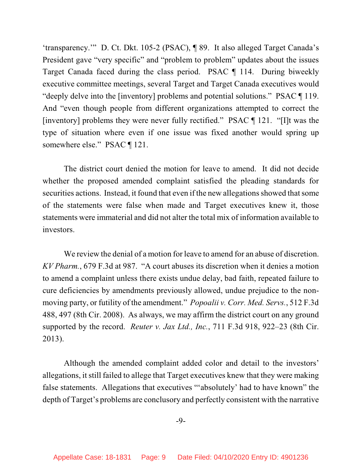'transparency.'" D. Ct. Dkt. 105-2 (PSAC), ¶ 89. It also alleged Target Canada's President gave "very specific" and "problem to problem" updates about the issues Target Canada faced during the class period. PSAC ¶ 114. During biweekly executive committee meetings, several Target and Target Canada executives would "deeply delve into the [inventory] problems and potential solutions." PSAC ¶ 119. And "even though people from different organizations attempted to correct the [inventory] problems they were never fully rectified." PSAC ¶ 121. "[I]t was the type of situation where even if one issue was fixed another would spring up somewhere else." PSAC ¶ 121.

The district court denied the motion for leave to amend. It did not decide whether the proposed amended complaint satisfied the pleading standards for securities actions. Instead, it found that even if the new allegations showed that some of the statements were false when made and Target executives knew it, those statements were immaterial and did not alter the total mix of information available to investors.

We review the denial of a motion for leave to amend for an abuse of discretion. *KV Pharm.*, 679 F.3d at 987. "A court abuses its discretion when it denies a motion to amend a complaint unless there exists undue delay, bad faith, repeated failure to cure deficiencies by amendments previously allowed, undue prejudice to the nonmoving party, or futility of the amendment." *Popoalii v. Corr. Med. Servs.*, 512 F.3d 488, 497 (8th Cir. 2008). As always, we may affirm the district court on any ground supported by the record. *Reuter v. Jax Ltd., Inc.*, 711 F.3d 918, 922–23 (8th Cir. 2013).

Although the amended complaint added color and detail to the investors' allegations, itstill failed to allege that Target executives knew that they were making false statements. Allegations that executives "'absolutely' had to have known" the depth of Target's problems are conclusory and perfectly consistent with the narrative

-9-